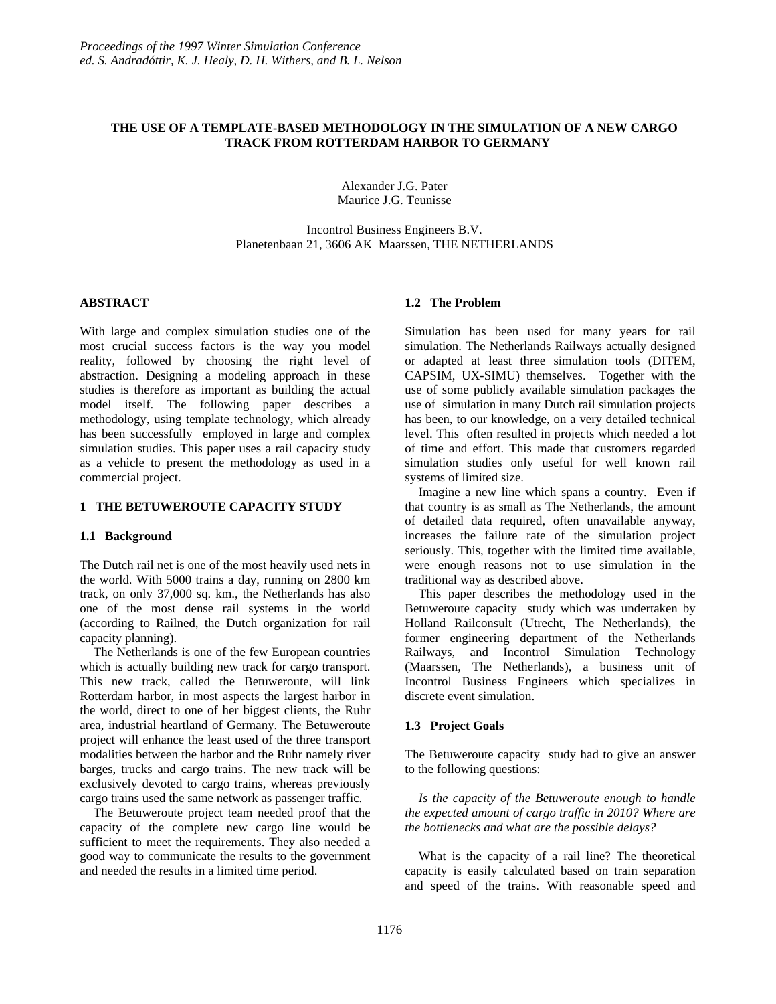## **THE USE OF A TEMPLATE-BASED METHODOLOGY IN THE SIMULATION OF A NEW CARGO TRACK FROM ROTTERDAM HARBOR TO GERMANY**

Alexander J.G. Pater Maurice J.G. Teunisse

Incontrol Business Engineers B.V. Planetenbaan 21, 3606 AK Maarssen, THE NETHERLANDS

### **ABSTRACT**

With large and complex simulation studies one of the most crucial success factors is the way you model reality, followed by choosing the right level of abstraction. Designing a modeling approach in these studies is therefore as important as building the actual model itself. The following paper describes a methodology, using template technology, which already has been successfully employed in large and complex simulation studies. This paper uses a rail capacity study as a vehicle to present the methodology as used in a commercial project.

### **1 THE BETUWEROUTE CAPACITY STUDY**

### **1.1 Background**

The Dutch rail net is one of the most heavily used nets in the world. With 5000 trains a day, running on 2800 km track, on only 37,000 sq. km., the Netherlands has also one of the most dense rail systems in the world (according to Railned, the Dutch organization for rail capacity planning).

The Netherlands is one of the few European countries which is actually building new track for cargo transport. This new track, called the Betuweroute, will link Rotterdam harbor, in most aspects the largest harbor in the world, direct to one of her biggest clients, the Ruhr area, industrial heartland of Germany. The Betuweroute project will enhance the least used of the three transport modalities between the harbor and the Ruhr namely river barges, trucks and cargo trains. The new track will be exclusively devoted to cargo trains, whereas previously cargo trains used the same network as passenger traffic.

The Betuweroute project team needed proof that the capacity of the complete new cargo line would be sufficient to meet the requirements. They also needed a good way to communicate the results to the government and needed the results in a limited time period.

## **1.2 The Problem**

Simulation has been used for many years for rail simulation. The Netherlands Railways actually designed or adapted at least three simulation tools (DITEM, CAPSIM, UX-SIMU) themselves. Together with the use of some publicly available simulation packages the use of simulation in many Dutch rail simulation projects has been, to our knowledge, on a very detailed technical level. This often resulted in projects which needed a lot of time and effort. This made that customers regarded simulation studies only useful for well known rail systems of limited size.

Imagine a new line which spans a country. Even if that country is as small as The Netherlands, the amount of detailed data required, often unavailable anyway, increases the failure rate of the simulation project seriously. This, together with the limited time available, were enough reasons not to use simulation in the traditional way as described above.

This paper describes the methodology used in the Betuweroute capacity study which was undertaken by Holland Railconsult (Utrecht, The Netherlands), the former engineering department of the Netherlands Railways, and Incontrol Simulation Technology (Maarssen, The Netherlands), a business unit of Incontrol Business Engineers which specializes in discrete event simulation.

## **1.3 Project Goals**

The Betuweroute capacity study had to give an answer to the following questions:

*Is the capacity of the Betuweroute enough to handle the expected amount of cargo traffic in 2010? Where are the bottlenecks and what are the possible delays?*

What is the capacity of a rail line? The theoretical capacity is easily calculated based on train separation and speed of the trains. With reasonable speed and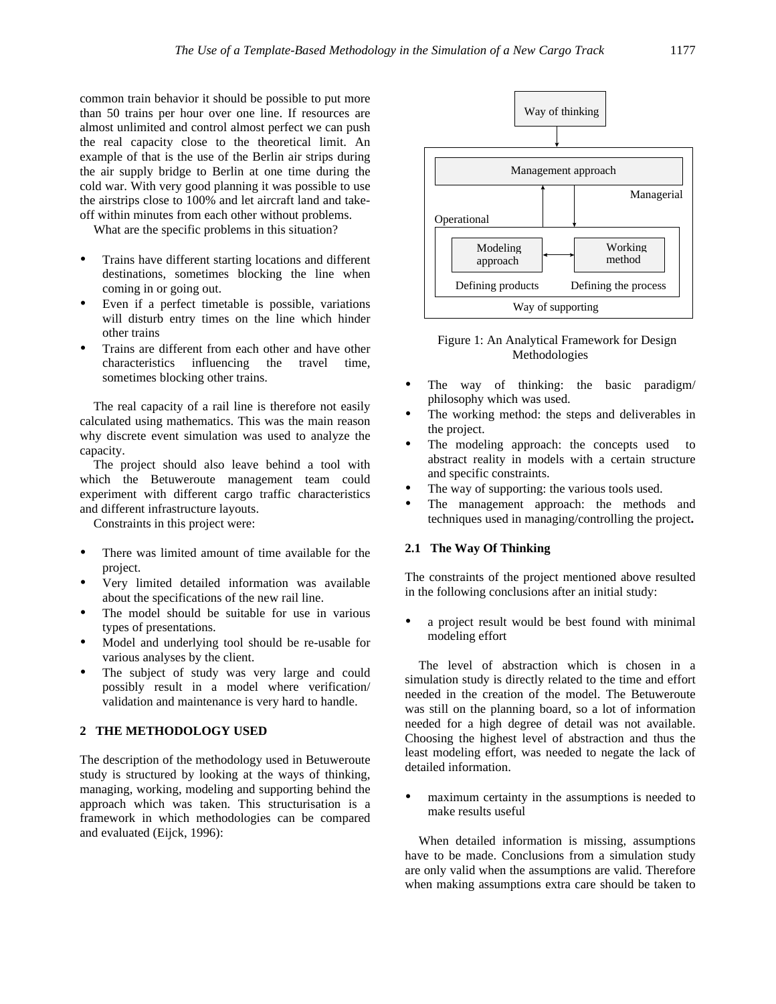common train behavior it should be possible to put more than 50 trains per hour over one line. If resources are almost unlimited and control almost perfect we can push the real capacity close to the theoretical limit. An example of that is the use of the Berlin air strips during the air supply bridge to Berlin at one time during the cold war. With very good planning it was possible to use the airstrips close to 100% and let aircraft land and takeoff within minutes from each other without problems.

What are the specific problems in this situation?

- ü Trains have different starting locations and different destinations, sometimes blocking the line when coming in or going out.
- ü Even if a perfect timetable is possible, variations will disturb entry times on the line which hinder other trains
- ü Trains are different from each other and have other characteristics influencing the travel time, sometimes blocking other trains.

The real capacity of a rail line is therefore not easily calculated using mathematics. This was the main reason why discrete event simulation was used to analyze the capacity.

The project should also leave behind a tool with which the Betuweroute management team could experiment with different cargo traffic characteristics and different infrastructure layouts.

Constraints in this project were:

- There was limited amount of time available for the project.
- ü Very limited detailed information was available about the specifications of the new rail line.
- The model should be suitable for use in various types of presentations.
- Model and underlying tool should be re-usable for various analyses by the client.
- The subject of study was very large and could possibly result in a model where verification/ validation and maintenance is very hard to handle.

## **2 THE METHODOLOGY USED**

The description of the methodology used in Betuweroute study is structured by looking at the ways of thinking, managing, working, modeling and supporting behind the approach which was taken. This structurisation is a framework in which methodologies can be compared and evaluated (Eijck, 1996):



Figure 1: An Analytical Framework for Design Methodologies

- The way of thinking: the basic paradigm/ philosophy which was used.
- The working method: the steps and deliverables in the project.
- ü The modeling approach: the concepts used to abstract reality in models with a certain structure and specific constraints.
- The way of supporting: the various tools used.
- ü The management approach: the methods and techniques used in managing/controlling the project**.**

### **2.1 The Way Of Thinking**

The constraints of the project mentioned above resulted in the following conclusions after an initial study:

ü a project result would be best found with minimal modeling effort

The level of abstraction which is chosen in a simulation study is directly related to the time and effort needed in the creation of the model. The Betuweroute was still on the planning board, so a lot of information needed for a high degree of detail was not available. Choosing the highest level of abstraction and thus the least modeling effort, was needed to negate the lack of detailed information.

maximum certainty in the assumptions is needed to make results useful

When detailed information is missing, assumptions have to be made. Conclusions from a simulation study are only valid when the assumptions are valid. Therefore when making assumptions extra care should be taken to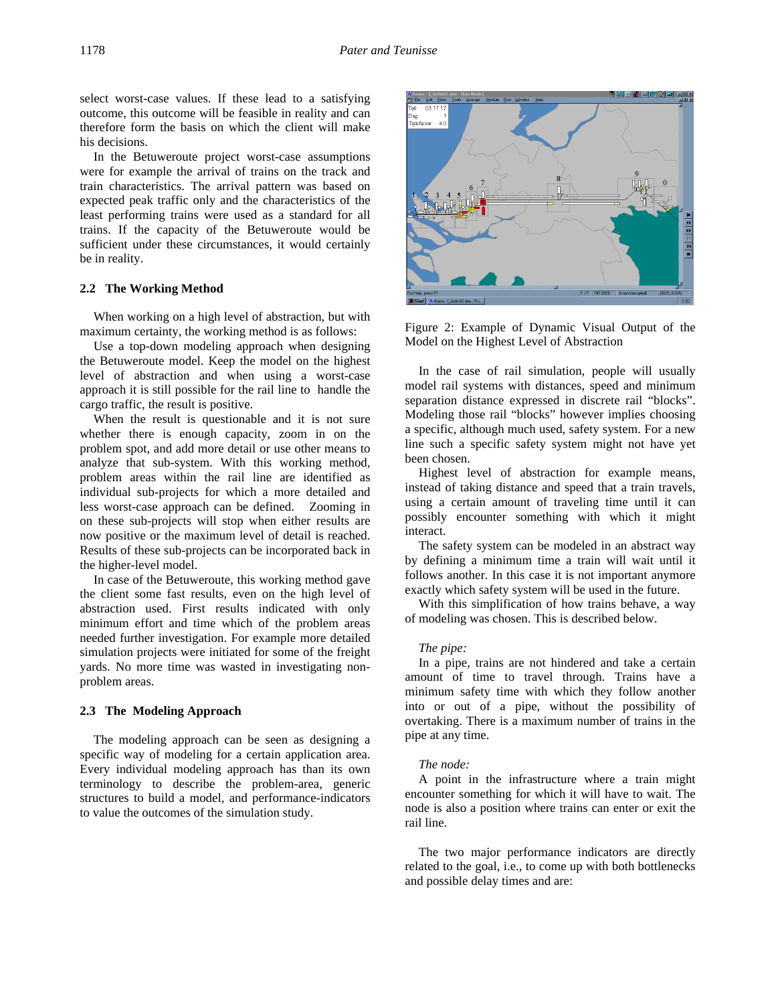select worst-case values. If these lead to a satisfying outcome, this outcome will be feasible in reality and can therefore form the basis on which the client will make his decisions.

In the Betuweroute project worst-case assumptions were for example the arrival of trains on the track and train characteristics. The arrival pattern was based on expected peak traffic only and the characteristics of the least performing trains were used as a standard for all trains. If the capacity of the Betuweroute would be sufficient under these circumstances, it would certainly be in reality.

### **2.2 The Working Method**

When working on a high level of abstraction, but with maximum certainty, the working method is as follows:

Use a top-down modeling approach when designing the Betuweroute model. Keep the model on the highest level of abstraction and when using a worst-case approach it is still possible for the rail line to handle the cargo traffic, the result is positive.

When the result is questionable and it is not sure whether there is enough capacity, zoom in on the problem spot, and add more detail or use other means to analyze that sub-system. With this working method, problem areas within the rail line are identified as individual sub-projects for which a more detailed and less worst-case approach can be defined. Zooming in on these sub-projects will stop when either results are now positive or the maximum level of detail is reached. Results of these sub-projects can be incorporated back in the higher-level model.

In case of the Betuweroute, this working method gave the client some fast results, even on the high level of abstraction used. First results indicated with only minimum effort and time which of the problem areas needed further investigation. For example more detailed simulation projects were initiated for some of the freight yards. No more time was wasted in investigating nonproblem areas.

### **2.3 The Modeling Approach**

The modeling approach can be seen as designing a specific way of modeling for a certain application area. Every individual modeling approach has than its own terminology to describe the problem-area, generic structures to build a model, and performance-indicators to value the outcomes of the simulation study.



Figure 2: Example of Dynamic Visual Output of the Model on the Highest Level of Abstraction

In the case of rail simulation, people will usually model rail systems with distances, speed and minimum separation distance expressed in discrete rail "blocks". Modeling those rail "blocks" however implies choosing a specific, although much used, safety system. For a new line such a specific safety system might not have yet been chosen.

Highest level of abstraction for example means, instead of taking distance and speed that a train travels, using a certain amount of traveling time until it can possibly encounter something with which it might interact.

The safety system can be modeled in an abstract way by defining a minimum time a train will wait until it follows another. In this case it is not important anymore exactly which safety system will be used in the future.

With this simplification of how trains behave, a way of modeling was chosen. This is described below.

#### *The pipe:*

In a pipe, trains are not hindered and take a certain amount of time to travel through. Trains have a minimum safety time with which they follow another into or out of a pipe, without the possibility of overtaking. There is a maximum number of trains in the pipe at any time.

### *The node:*

A point in the infrastructure where a train might encounter something for which it will have to wait. The node is also a position where trains can enter or exit the rail line.

The two major performance indicators are directly related to the goal, i.e., to come up with both bottlenecks and possible delay times and are: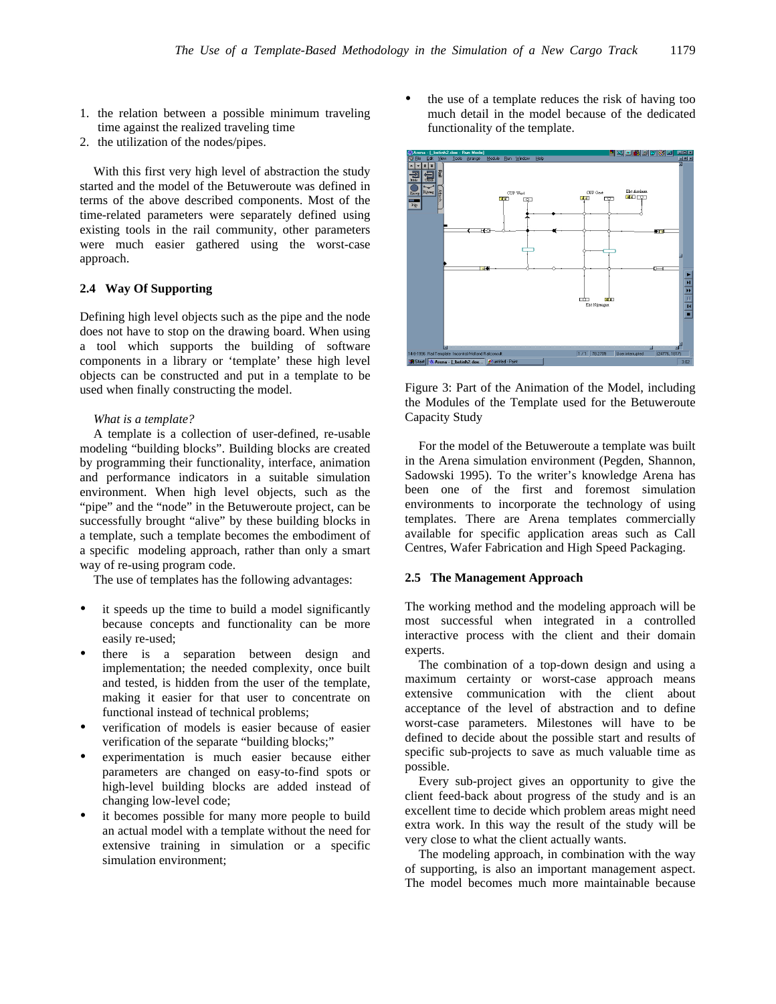- 1. the relation between a possible minimum traveling time against the realized traveling time
- 2. the utilization of the nodes/pipes.

With this first very high level of abstraction the study started and the model of the Betuweroute was defined in terms of the above described components. Most of the time-related parameters were separately defined using existing tools in the rail community, other parameters were much easier gathered using the worst-case approach.

## **2.4 Way Of Supporting**

Defining high level objects such as the pipe and the node does not have to stop on the drawing board. When using a tool which supports the building of software components in a library or 'template' these high level objects can be constructed and put in a template to be used when finally constructing the model.

## *What is a template?*

A template is a collection of user-defined, re-usable modeling "building blocks". Building blocks are created by programming their functionality, interface, animation and performance indicators in a suitable simulation environment. When high level objects, such as the "pipe" and the "node" in the Betuweroute project, can be successfully brought "alive" by these building blocks in a template, such a template becomes the embodiment of a specific modeling approach, rather than only a smart way of re-using program code.

The use of templates has the following advantages:

- ü it speeds up the time to build a model significantly because concepts and functionality can be more easily re-used;
- ü there is a separation between design and implementation; the needed complexity, once built and tested, is hidden from the user of the template, making it easier for that user to concentrate on functional instead of technical problems;
- ü verification of models is easier because of easier verification of the separate "building blocks;"
- ü experimentation is much easier because either parameters are changed on easy-to-find spots or high-level building blocks are added instead of changing low-level code;
- ü it becomes possible for many more people to build an actual model with a template without the need for extensive training in simulation or a specific simulation environment;

ü the use of a template reduces the risk of having too much detail in the model because of the dedicated functionality of the template.



Figure 3: Part of the Animation of the Model, including the Modules of the Template used for the Betuweroute Capacity Study

For the model of the Betuweroute a template was built in the Arena simulation environment (Pegden, Shannon, Sadowski 1995). To the writer's knowledge Arena has been one of the first and foremost simulation environments to incorporate the technology of using templates. There are Arena templates commercially available for specific application areas such as Call Centres, Wafer Fabrication and High Speed Packaging.

### **2.5 The Management Approach**

The working method and the modeling approach will be most successful when integrated in a controlled interactive process with the client and their domain experts.

The combination of a top-down design and using a maximum certainty or worst-case approach means extensive communication with the client about acceptance of the level of abstraction and to define worst-case parameters. Milestones will have to be defined to decide about the possible start and results of specific sub-projects to save as much valuable time as possible.

Every sub-project gives an opportunity to give the client feed-back about progress of the study and is an excellent time to decide which problem areas might need extra work. In this way the result of the study will be very close to what the client actually wants.

The modeling approach, in combination with the way of supporting, is also an important management aspect. The model becomes much more maintainable because